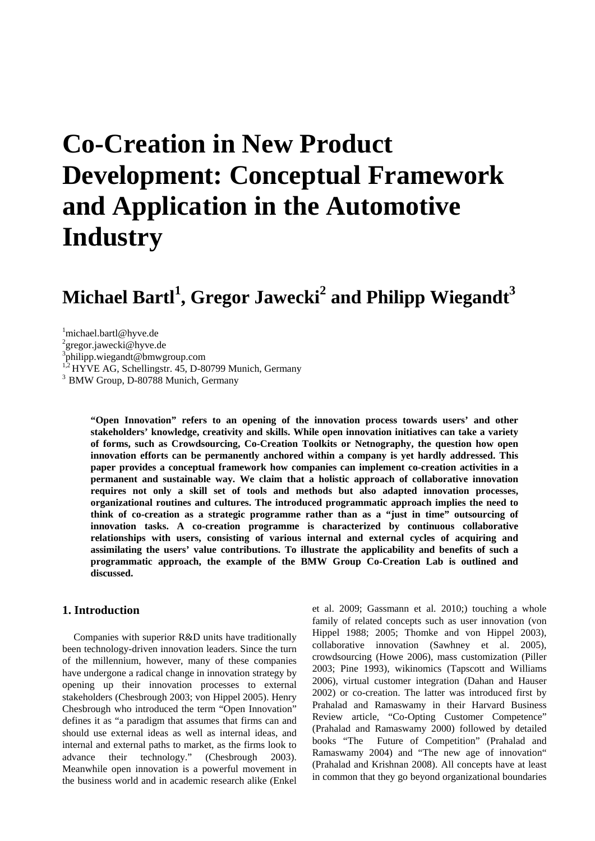# **Co-Creation in New Product Development: Conceptual Framework and Application in the Automotive Industry**

## $M$ ichael Bartl<sup>1</sup>, Gregor Jawecki<sup>2</sup> and Philipp Wiegandt<sup>3</sup>

1 michael.bartl@hyve.de

<sup>2</sup>gregor.jawecki@hyve.de

3 philipp.wiegandt@bmwgroup.com

 $1.2$  HYVE AG, Schellingstr. 45, D-80799 Munich, Germany  $3$  BMW Group, D-80788 Munich, Germany

**"Open Innovation" refers to an opening of the innovation process towards users' and other stakeholders' knowledge, creativity and skills. While open innovation initiatives can take a variety of forms, such as Crowdsourcing, Co-Creation Toolkits or Netnography, the question how open innovation efforts can be permanently anchored within a company is yet hardly addressed. This paper provides a conceptual framework how companies can implement co-creation activities in a permanent and sustainable way. We claim that a holistic approach of collaborative innovation requires not only a skill set of tools and methods but also adapted innovation processes, organizational routines and cultures. The introduced programmatic approach implies the need to think of co-creation as a strategic programme rather than as a "just in time" outsourcing of innovation tasks. A co-creation programme is characterized by continuous collaborative relationships with users, consisting of various internal and external cycles of acquiring and assimilating the users' value contributions. To illustrate the applicability and benefits of such a programmatic approach, the example of the BMW Group Co-Creation Lab is outlined and discussed.** 

## **1. Introduction**

Companies with superior R&D units have traditionally been technology-driven innovation leaders. Since the turn of the millennium, however, many of these companies have undergone a radical change in innovation strategy by opening up their innovation processes to external stakeholders (Chesbrough 2003; von Hippel 2005). Henry Chesbrough who introduced the term "Open Innovation" defines it as "a paradigm that assumes that firms can and should use external ideas as well as internal ideas, and internal and external paths to market, as the firms look to advance their technology." (Chesbrough 2003). Meanwhile open innovation is a powerful movement in the business world and in academic research alike (Enkel et al. 2009; Gassmann et al. 2010;) touching a whole family of related concepts such as user innovation (von Hippel 1988; 2005; Thomke and von Hippel 2003), collaborative innovation (Sawhney et al. 2005), crowdsourcing (Howe 2006), mass customization (Piller 2003; Pine 1993), wikinomics (Tapscott and Williams 2006), virtual customer integration (Dahan and Hauser 2002) or co-creation. The latter was introduced first by Prahalad and Ramaswamy in their Harvard Business Review article, "Co-Opting Customer Competence" (Prahalad and Ramaswamy 2000) followed by detailed books "The Future of Competition" (Prahalad and Ramaswamy 2004) and "The new age of innovation" (Prahalad and Krishnan 2008). All concepts have at least in common that they go beyond organizational boundaries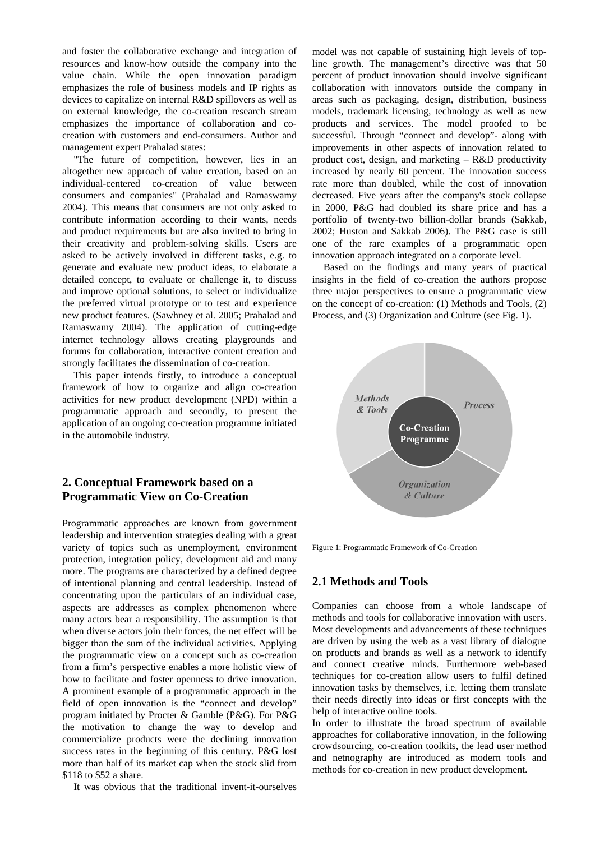and foster the collaborative exchange and integration of resources and know-how outside the company into the value chain. While the open innovation paradigm emphasizes the role of business models and IP rights as devices to capitalize on internal R&D spillovers as well as on external knowledge, the co-creation research stream emphasizes the importance of collaboration and cocreation with customers and end-consumers. Author and management expert Prahalad states:

"The future of competition, however, lies in an altogether new approach of value creation, based on an individual-centered co-creation of value between consumers and companies" (Prahalad and Ramaswamy 2004). This means that consumers are not only asked to contribute information according to their wants, needs and product requirements but are also invited to bring in their creativity and problem-solving skills. Users are asked to be actively involved in different tasks, e.g. to generate and evaluate new product ideas, to elaborate a detailed concept, to evaluate or challenge it, to discuss and improve optional solutions, to select or individualize the preferred virtual prototype or to test and experience new product features. (Sawhney et al. 2005; Prahalad and Ramaswamy 2004). The application of cutting-edge internet technology allows creating playgrounds and forums for collaboration, interactive content creation and strongly facilitates the dissemination of co-creation.

This paper intends firstly, to introduce a conceptual framework of how to organize and align co-creation activities for new product development (NPD) within a programmatic approach and secondly, to present the application of an ongoing co-creation programme initiated in the automobile industry.

## **2. Conceptual Framework based on a Programmatic View on Co-Creation**

Programmatic approaches are known from government leadership and intervention strategies dealing with a great variety of topics such as unemployment, environment protection, integration policy, development aid and many more. The programs are characterized by a defined degree of intentional planning and central leadership. Instead of concentrating upon the particulars of an individual case, aspects are addresses as complex phenomenon where many actors bear a responsibility. The assumption is that when diverse actors join their forces, the net effect will be bigger than the sum of the individual activities. Applying the programmatic view on a concept such as co-creation from a firm's perspective enables a more holistic view of how to facilitate and foster openness to drive innovation. A prominent example of a programmatic approach in the field of open innovation is the "connect and develop" program initiated by Procter & Gamble (P&G). For P&G the motivation to change the way to develop and commercialize products were the declining innovation success rates in the beginning of this century. P&G lost more than half of its market cap when the stock slid from \$118 to \$52 a share.

It was obvious that the traditional invent-it-ourselves

model was not capable of sustaining high levels of topline growth. The management's directive was that 50 percent of product innovation should involve significant collaboration with innovators outside the company in areas such as packaging, design, distribution, business models, trademark licensing, technology as well as new products and services. The model proofed to be successful. Through "connect and develop"- along with improvements in other aspects of innovation related to product cost, design, and marketing – R&D productivity increased by nearly 60 percent. The innovation success rate more than doubled, while the cost of innovation decreased. Five years after the company's stock collapse in 2000, P&G had doubled its share price and has a portfolio of twenty-two billion-dollar brands (Sakkab, 2002; Huston and Sakkab 2006). The P&G case is still one of the rare examples of a programmatic open innovation approach integrated on a corporate level.

Based on the findings and many years of practical insights in the field of co-creation the authors propose three major perspectives to ensure a programmatic view on the concept of co-creation: (1) Methods and Tools, (2) Process, and (3) Organization and Culture (see Fig. 1).



Figure 1: Programmatic Framework of Co-Creation

#### **2.1 Methods and Tools**

Companies can choose from a whole landscape of methods and tools for collaborative innovation with users. Most developments and advancements of these techniques are driven by using the web as a vast library of dialogue on products and brands as well as a network to identify and connect creative minds. Furthermore web-based techniques for co-creation allow users to fulfil defined innovation tasks by themselves, i.e. letting them translate their needs directly into ideas or first concepts with the help of interactive online tools.

In order to illustrate the broad spectrum of available approaches for collaborative innovation, in the following crowdsourcing, co-creation toolkits, the lead user method and netnography are introduced as modern tools and methods for co-creation in new product development.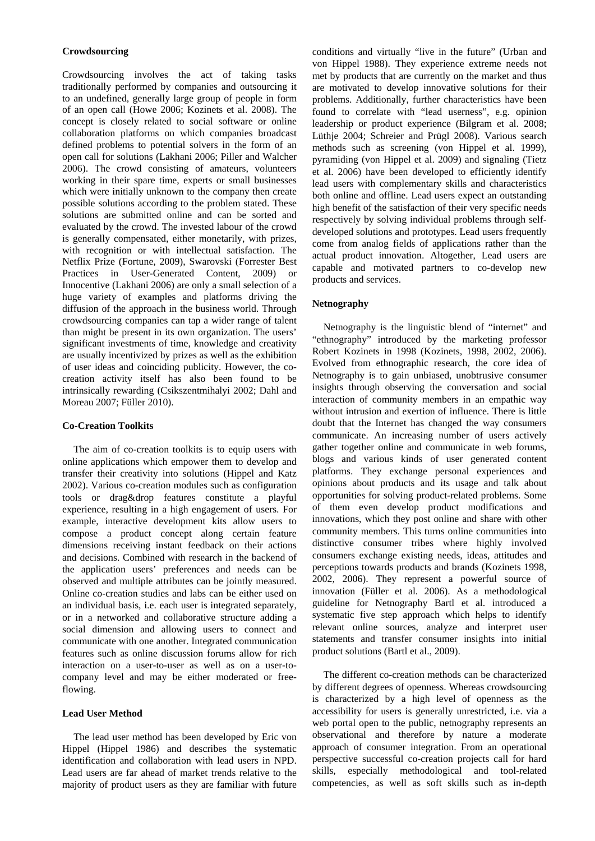#### **Crowdsourcing**

Crowdsourcing involves the act of taking tasks traditionally performed by companies and outsourcing it to an undefined, generally large group of people in form of an open call (Howe 2006; Kozinets et al. 2008). The concept is closely related to social software or online collaboration platforms on which companies broadcast defined problems to potential solvers in the form of an open call for solutions (Lakhani 2006; Piller and Walcher 2006). The crowd consisting of amateurs, volunteers working in their spare time, experts or small businesses which were initially unknown to the company then create possible solutions according to the problem stated. These solutions are submitted online and can be sorted and evaluated by the crowd. The invested labour of the crowd is generally compensated, either monetarily, with prizes, with recognition or with intellectual satisfaction. The Netflix Prize (Fortune, 2009), Swarovski (Forrester Best Practices in User-Generated Content, 2009) or Innocentive (Lakhani 2006) are only a small selection of a huge variety of examples and platforms driving the diffusion of the approach in the business world. Through crowdsourcing companies can tap a wider range of talent than might be present in its own organization. The users' significant investments of time, knowledge and creativity are usually incentivized by prizes as well as the exhibition of user ideas and coinciding publicity. However, the cocreation activity itself has also been found to be intrinsically rewarding (Csikszentmihalyi 2002; Dahl and Moreau 2007; Füller 2010).

#### **Co-Creation Toolkits**

The aim of co-creation toolkits is to equip users with online applications which empower them to develop and transfer their creativity into solutions (Hippel and Katz 2002). Various co-creation modules such as configuration tools or drag&drop features constitute a playful experience, resulting in a high engagement of users. For example, interactive development kits allow users to compose a product concept along certain feature dimensions receiving instant feedback on their actions and decisions. Combined with research in the backend of the application users' preferences and needs can be observed and multiple attributes can be jointly measured. Online co-creation studies and labs can be either used on an individual basis, i.e. each user is integrated separately, or in a networked and collaborative structure adding a social dimension and allowing users to connect and communicate with one another. Integrated communication features such as online discussion forums allow for rich interaction on a user-to-user as well as on a user-tocompany level and may be either moderated or freeflowing.

#### **Lead User Method**

The lead user method has been developed by Eric von Hippel (Hippel 1986) and describes the systematic identification and collaboration with lead users in NPD. Lead users are far ahead of market trends relative to the majority of product users as they are familiar with future conditions and virtually "live in the future" (Urban and von Hippel 1988). They experience extreme needs not met by products that are currently on the market and thus are motivated to develop innovative solutions for their problems. Additionally, further characteristics have been found to correlate with "lead userness", e.g. opinion leadership or product experience (Bilgram et al. 2008; Lüthje 2004; Schreier and Prügl 2008). Various search methods such as screening (von Hippel et al. 1999), pyramiding (von Hippel et al. 2009) and signaling (Tietz et al. 2006) have been developed to efficiently identify lead users with complementary skills and characteristics both online and offline. Lead users expect an outstanding high benefit of the satisfaction of their very specific needs respectively by solving individual problems through selfdeveloped solutions and prototypes. Lead users frequently come from analog fields of applications rather than the actual product innovation. Altogether, Lead users are capable and motivated partners to co-develop new products and services.

#### **Netnography**

Netnography is the linguistic blend of "internet" and "ethnography" introduced by the marketing professor Robert Kozinets in 1998 (Kozinets, 1998, 2002, 2006). Evolved from ethnographic research, the core idea of Netnography is to gain unbiased, unobtrusive consumer insights through observing the conversation and social interaction of community members in an empathic way without intrusion and exertion of influence. There is little doubt that the Internet has changed the way consumers communicate. An increasing number of users actively gather together online and communicate in web forums, blogs and various kinds of user generated content platforms. They exchange personal experiences and opinions about products and its usage and talk about opportunities for solving product-related problems. Some of them even develop product modifications and innovations, which they post online and share with other community members. This turns online communities into distinctive consumer tribes where highly involved consumers exchange existing needs, ideas, attitudes and perceptions towards products and brands (Kozinets 1998, 2002, 2006). They represent a powerful source of innovation (Füller et al. 2006). As a methodological guideline for Netnography Bartl et al. introduced a systematic five step approach which helps to identify relevant online sources, analyze and interpret user statements and transfer consumer insights into initial product solutions (Bartl et al., 2009).

The different co-creation methods can be characterized by different degrees of openness. Whereas crowdsourcing is characterized by a high level of openness as the accessibility for users is generally unrestricted, i.e. via a web portal open to the public, netnography represents an observational and therefore by nature a moderate approach of consumer integration. From an operational perspective successful co-creation projects call for hard skills, especially methodological and tool-related competencies, as well as soft skills such as in-depth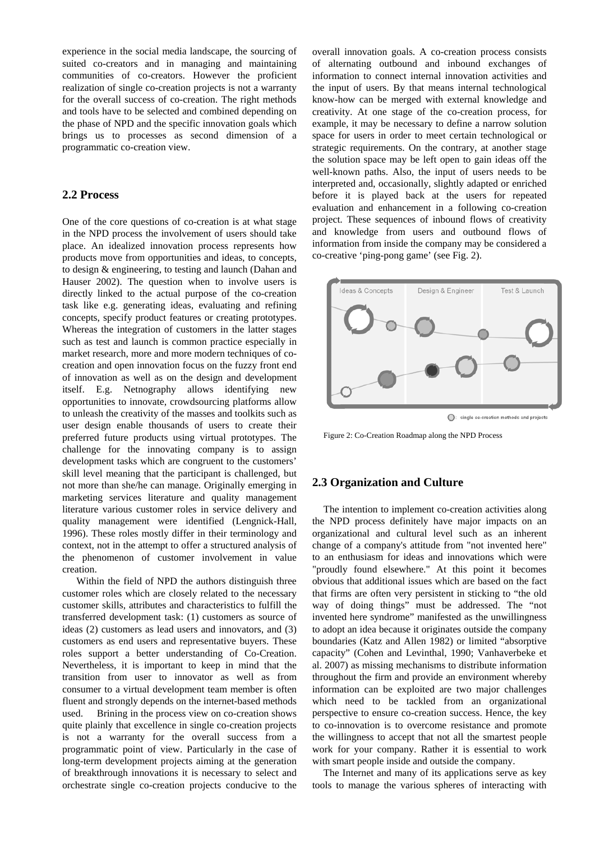experience in the social media landscape, the sourcing of suited co-creators and in managing and maintaining communities of co-creators. However the proficient realization of single co-creation projects is not a warranty for the overall success of co-creation. The right methods and tools have to be selected and combined depending on the phase of NPD and the specific innovation goals which brings us to processes as second dimension of a programmatic co-creation view.

## **2.2 Process**

One of the core questions of co-creation is at what stage in the NPD process the involvement of users should take place. An idealized innovation process represents how products move from opportunities and ideas, to concepts, to design & engineering, to testing and launch (Dahan and Hauser 2002). The question when to involve users is directly linked to the actual purpose of the co-creation task like e.g. generating ideas, evaluating and refining concepts, specify product features or creating prototypes. Whereas the integration of customers in the latter stages such as test and launch is common practice especially in market research, more and more modern techniques of cocreation and open innovation focus on the fuzzy front end of innovation as well as on the design and development itself. E.g. Netnography allows identifying new opportunities to innovate, crowdsourcing platforms allow to unleash the creativity of the masses and toolkits such as user design enable thousands of users to create their preferred future products using virtual prototypes. The challenge for the innovating company is to assign development tasks which are congruent to the customers' skill level meaning that the participant is challenged, but not more than she/he can manage. Originally emerging in marketing services literature and quality management literature various customer roles in service delivery and quality management were identified (Lengnick-Hall, 1996). These roles mostly differ in their terminology and context, not in the attempt to offer a structured analysis of the phenomenon of customer involvement in value creation.

Within the field of NPD the authors distinguish three customer roles which are closely related to the necessary customer skills, attributes and characteristics to fulfill the transferred development task: (1) customers as source of ideas (2) customers as lead users and innovators, and (3) customers as end users and representative buyers. These roles support a better understanding of Co-Creation. Nevertheless, it is important to keep in mind that the transition from user to innovator as well as from consumer to a virtual development team member is often fluent and strongly depends on the internet-based methods used. Brining in the process view on co-creation shows quite plainly that excellence in single co-creation projects is not a warranty for the overall success from a programmatic point of view. Particularly in the case of long-term development projects aiming at the generation of breakthrough innovations it is necessary to select and orchestrate single co-creation projects conducive to the overall innovation goals. A co-creation process consists of alternating outbound and inbound exchanges of information to connect internal innovation activities and the input of users. By that means internal technological know-how can be merged with external knowledge and creativity. At one stage of the co-creation process, for example, it may be necessary to define a narrow solution space for users in order to meet certain technological or strategic requirements. On the contrary, at another stage the solution space may be left open to gain ideas off the well-known paths. Also, the input of users needs to be interpreted and, occasionally, slightly adapted or enriched before it is played back at the users for repeated evaluation and enhancement in a following co-creation project. These sequences of inbound flows of creativity and knowledge from users and outbound flows of information from inside the company may be considered a co-creative 'ping-pong game' (see Fig. 2).



Figure 2: Co-Creation Roadmap along the NPD Process

## **2.3 Organization and Culture**

The intention to implement co-creation activities along the NPD process definitely have major impacts on an organizational and cultural level such as an inherent change of a company's attitude from "not invented here" to an enthusiasm for ideas and innovations which were "proudly found elsewhere." At this point it becomes obvious that additional issues which are based on the fact that firms are often very persistent in sticking to "the old way of doing things" must be addressed. The "not invented here syndrome" manifested as the unwillingness to adopt an idea because it originates outside the company boundaries (Katz and Allen 1982) or limited "absorptive capacity" (Cohen and Levinthal, 1990; Vanhaverbeke et al. 2007) as missing mechanisms to distribute information throughout the firm and provide an environment whereby information can be exploited are two major challenges which need to be tackled from an organizational perspective to ensure co-creation success. Hence, the key to co-innovation is to overcome resistance and promote the willingness to accept that not all the smartest people work for your company. Rather it is essential to work with smart people inside and outside the company.

The Internet and many of its applications serve as key tools to manage the various spheres of interacting with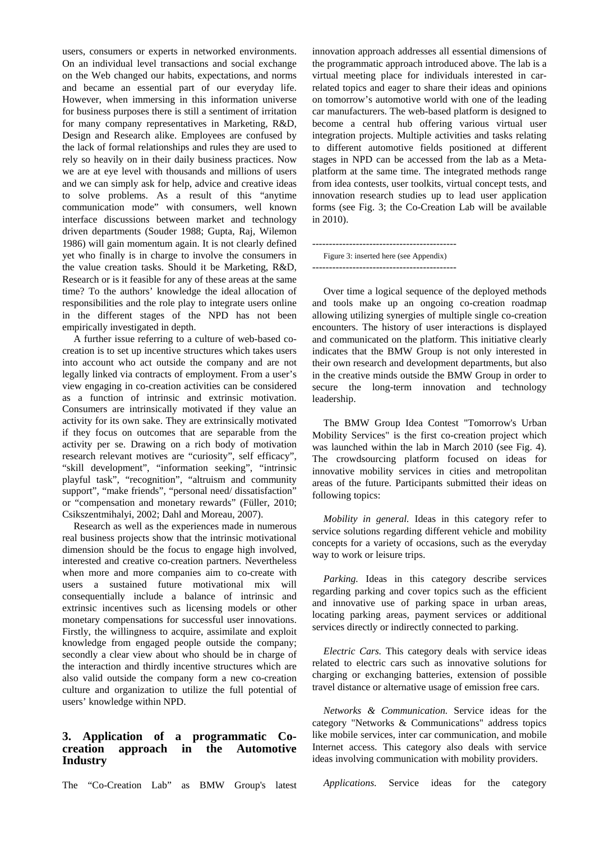users, consumers or experts in networked environments. On an individual level transactions and social exchange on the Web changed our habits, expectations, and norms and became an essential part of our everyday life. However, when immersing in this information universe for business purposes there is still a sentiment of irritation for many company representatives in Marketing, R&D, Design and Research alike. Employees are confused by the lack of formal relationships and rules they are used to rely so heavily on in their daily business practices. Now we are at eye level with thousands and millions of users and we can simply ask for help, advice and creative ideas to solve problems. As a result of this "anytime communication mode" with consumers, well known interface discussions between market and technology driven departments (Souder 1988; Gupta, Raj, Wilemon 1986) will gain momentum again. It is not clearly defined yet who finally is in charge to involve the consumers in the value creation tasks. Should it be Marketing, R&D, Research or is it feasible for any of these areas at the same time? To the authors' knowledge the ideal allocation of responsibilities and the role play to integrate users online in the different stages of the NPD has not been empirically investigated in depth.

A further issue referring to a culture of web-based cocreation is to set up incentive structures which takes users into account who act outside the company and are not legally linked via contracts of employment. From a user's view engaging in co-creation activities can be considered as a function of intrinsic and extrinsic motivation. Consumers are intrinsically motivated if they value an activity for its own sake. They are extrinsically motivated if they focus on outcomes that are separable from the activity per se. Drawing on a rich body of motivation research relevant motives are "curiosity", self efficacy", "skill development", "information seeking", "intrinsic playful task", "recognition", "altruism and community support", "make friends", "personal need/ dissatisfaction" or "compensation and monetary rewards" (Füller, 2010; Csikszentmihalyi, 2002; Dahl and Moreau, 2007).

Research as well as the experiences made in numerous real business projects show that the intrinsic motivational dimension should be the focus to engage high involved, interested and creative co-creation partners. Nevertheless when more and more companies aim to co-create with users a sustained future motivational mix will consequentially include a balance of intrinsic and extrinsic incentives such as licensing models or other monetary compensations for successful user innovations. Firstly, the willingness to acquire, assimilate and exploit knowledge from engaged people outside the company; secondly a clear view about who should be in charge of the interaction and thirdly incentive structures which are also valid outside the company form a new co-creation culture and organization to utilize the full potential of users' knowledge within NPD.

## **3. Application of a programmatic Cocreation approach in the Automotive Industry**

The "Co-Creation Lab" as BMW Group's latest

innovation approach addresses all essential dimensions of the programmatic approach introduced above. The lab is a virtual meeting place for individuals interested in carrelated topics and eager to share their ideas and opinions on tomorrow's automotive world with one of the leading car manufacturers. The web-based platform is designed to become a central hub offering various virtual user integration projects. Multiple activities and tasks relating to different automotive fields positioned at different stages in NPD can be accessed from the lab as a Metaplatform at the same time. The integrated methods range from idea contests, user toolkits, virtual concept tests, and innovation research studies up to lead user application forms (see Fig. 3; the Co-Creation Lab will be available in 2010).

------------------------------------------- Figure 3: inserted here (see Appendix) -------------------------------------------

Over time a logical sequence of the deployed methods and tools make up an ongoing co-creation roadmap allowing utilizing synergies of multiple single co-creation encounters. The history of user interactions is displayed and communicated on the platform. This initiative clearly indicates that the BMW Group is not only interested in their own research and development departments, but also in the creative minds outside the BMW Group in order to secure the long-term innovation and technology leadership.

The BMW Group Idea Contest "Tomorrow's Urban Mobility Services" is the first co-creation project which was launched within the lab in March 2010 (see Fig. 4). The crowdsourcing platform focused on ideas for innovative mobility services in cities and metropolitan areas of the future. Participants submitted their ideas on following topics:

*Mobility in general.* Ideas in this category refer to service solutions regarding different vehicle and mobility concepts for a variety of occasions, such as the everyday way to work or leisure trips.

*Parking.* Ideas in this category describe services regarding parking and cover topics such as the efficient and innovative use of parking space in urban areas, locating parking areas, payment services or additional services directly or indirectly connected to parking.

*Electric Cars.* This category deals with service ideas related to electric cars such as innovative solutions for charging or exchanging batteries, extension of possible travel distance or alternative usage of emission free cars.

*Networks & Communication.* Service ideas for the category "Networks & Communications" address topics like mobile services, inter car communication, and mobile Internet access. This category also deals with service ideas involving communication with mobility providers.

*Applications.* Service ideas for the category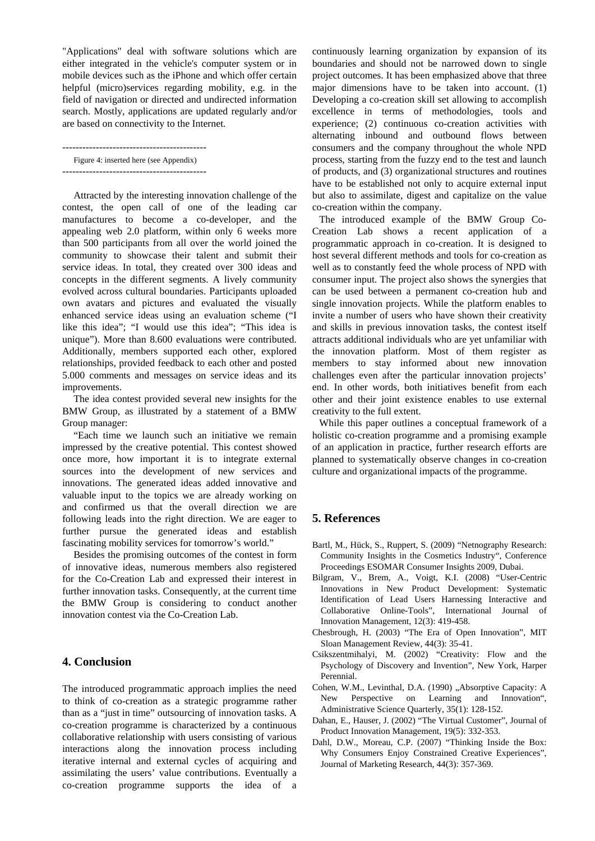"Applications" deal with software solutions which are either integrated in the vehicle's computer system or in mobile devices such as the iPhone and which offer certain helpful (micro)services regarding mobility, e.g. in the field of navigation or directed and undirected information search. Mostly, applications are updated regularly and/or are based on connectivity to the Internet.

-------------------------------------------

Figure 4: inserted here (see Appendix) -------------------------------------------

Attracted by the interesting innovation challenge of the contest, the open call of one of the leading car manufactures to become a co-developer, and the appealing web 2.0 platform, within only 6 weeks more than 500 participants from all over the world joined the community to showcase their talent and submit their service ideas. In total, they created over 300 ideas and concepts in the different segments. A lively community evolved across cultural boundaries. Participants uploaded own avatars and pictures and evaluated the visually enhanced service ideas using an evaluation scheme ("I like this idea"; "I would use this idea"; "This idea is unique"). More than 8.600 evaluations were contributed. Additionally, members supported each other, explored relationships, provided feedback to each other and posted 5.000 comments and messages on service ideas and its improvements.

The idea contest provided several new insights for the BMW Group, as illustrated by a statement of a BMW Group manager:

"Each time we launch such an initiative we remain impressed by the creative potential. This contest showed once more, how important it is to integrate external sources into the development of new services and innovations. The generated ideas added innovative and valuable input to the topics we are already working on and confirmed us that the overall direction we are following leads into the right direction. We are eager to further pursue the generated ideas and establish fascinating mobility services for tomorrow's world."

Besides the promising outcomes of the contest in form of innovative ideas, numerous members also registered for the Co-Creation Lab and expressed their interest in further innovation tasks. Consequently, at the current time the BMW Group is considering to conduct another innovation contest via the Co-Creation Lab.

## **4. Conclusion**

The introduced programmatic approach implies the need to think of co-creation as a strategic programme rather than as a "just in time" outsourcing of innovation tasks. A co-creation programme is characterized by a continuous collaborative relationship with users consisting of various interactions along the innovation process including iterative internal and external cycles of acquiring and assimilating the users' value contributions. Eventually a co-creation programme supports the idea of a

continuously learning organization by expansion of its boundaries and should not be narrowed down to single project outcomes. It has been emphasized above that three major dimensions have to be taken into account. (1) Developing a co-creation skill set allowing to accomplish excellence in terms of methodologies, tools and experience; (2) continuous co-creation activities with alternating inbound and outbound flows between consumers and the company throughout the whole NPD process, starting from the fuzzy end to the test and launch of products, and (3) organizational structures and routines have to be established not only to acquire external input but also to assimilate, digest and capitalize on the value co-creation within the company.

The introduced example of the BMW Group Co-Creation Lab shows a recent application of a programmatic approach in co-creation. It is designed to host several different methods and tools for co-creation as well as to constantly feed the whole process of NPD with consumer input. The project also shows the synergies that can be used between a permanent co-creation hub and single innovation projects. While the platform enables to invite a number of users who have shown their creativity and skills in previous innovation tasks, the contest itself attracts additional individuals who are yet unfamiliar with the innovation platform. Most of them register as members to stay informed about new innovation challenges even after the particular innovation projects' end. In other words, both initiatives benefit from each other and their joint existence enables to use external creativity to the full extent.

While this paper outlines a conceptual framework of a holistic co-creation programme and a promising example of an application in practice, further research efforts are planned to systematically observe changes in co-creation culture and organizational impacts of the programme.

## **5. References**

- Bartl, M., Hück, S., Ruppert, S. (2009) "Netnography Research: Community Insights in the Cosmetics Industry", Conference Proceedings ESOMAR Consumer Insights 2009, Dubai.
- Bilgram, V., Brem, A., Voigt, K.I. (2008) "User-Centric Innovations in New Product Development: Systematic Identification of Lead Users Harnessing Interactive and Collaborative Online-Tools", International Journal of Innovation Management, 12(3): 419-458.
- Chesbrough, H. (2003) "The Era of Open Innovation", MIT Sloan Management Review, 44(3): 35-41.
- Csikszentmihalyi, M. (2002) "Creativity: Flow and the Psychology of Discovery and Invention", New York, Harper Perennial.
- Cohen, W.M., Levinthal, D.A. (1990) "Absorptive Capacity: A New Perspective on Learning and Innovation", Administrative Science Quarterly, 35(1): 128-152.
- Dahan, E., Hauser, J. (2002) "The Virtual Customer", Journal of Product Innovation Management, 19(5): 332-353.
- Dahl, D.W., Moreau, C.P. (2007) "Thinking Inside the Box: Why Consumers Enjoy Constrained Creative Experiences", Journal of Marketing Research, 44(3): 357-369.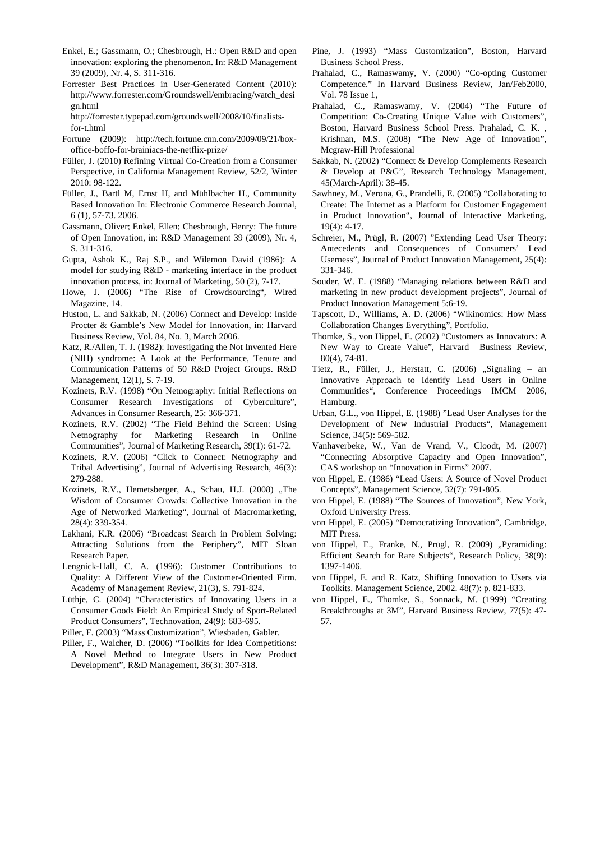- Enkel, E.; Gassmann, O.; Chesbrough, H.: Open R&D and open innovation: exploring the phenomenon. In: R&D Management 39 (2009), Nr. 4, S. 311-316.
- Forrester Best Practices in User-Generated Content (2010): http://www.forrester.com/Groundswell/embracing/watch\_desi gn.html
	- http://forrester.typepad.com/groundswell/2008/10/finalistsfor-t.html
- Fortune (2009): http://tech.fortune.cnn.com/2009/09/21/boxoffice-boffo-for-brainiacs-the-netflix-prize/
- Füller, J. (2010) Refining Virtual Co-Creation from a Consumer Perspective, in California Management Review, 52/2, Winter 2010: 98-122.
- Füller, J., Bartl M, Ernst H, and Mühlbacher H., Community Based Innovation In: Electronic Commerce Research Journal, 6 (1), 57-73. 2006.
- Gassmann, Oliver; Enkel, Ellen; Chesbrough, Henry: The future of Open Innovation, in: R&D Management 39 (2009), Nr. 4, S. 311-316.
- Gupta, Ashok K., Raj S.P., and Wilemon David (1986): A model for studying R&D - marketing interface in the product innovation process, in: Journal of Marketing, 50 (2), 7-17.
- Howe, J. (2006) "The Rise of Crowdsourcing", Wired Magazine, 14.
- Huston, L. and Sakkab, N. (2006) Connect and Develop: Inside Procter & Gamble's New Model for Innovation, in: Harvard Business Review, Vol. 84, No. 3, March 2006.
- Katz, R./Allen, T. J. (1982): Investigating the Not Invented Here (NIH) syndrome: A Look at the Performance, Tenure and Communication Patterns of 50 R&D Project Groups. R&D Management, 12(1), S. 7-19.
- Kozinets, R.V. (1998) "On Netnography: Initial Reflections on Consumer Research Investigations of Cyberculture", Advances in Consumer Research, 25: 366-371.
- Kozinets, R.V. (2002) "The Field Behind the Screen: Using Netnography for Marketing Research in Online Communities", Journal of Marketing Research, 39(1): 61-72.
- Kozinets, R.V. (2006) "Click to Connect: Netnography and Tribal Advertising", Journal of Advertising Research, 46(3): 279-288.
- Kozinets, R.V., Hemetsberger, A., Schau, H.J. (2008) "The Wisdom of Consumer Crowds: Collective Innovation in the Age of Networked Marketing", Journal of Macromarketing, 28(4): 339-354.
- Lakhani, K.R. (2006) "Broadcast Search in Problem Solving: Attracting Solutions from the Periphery", MIT Sloan Research Paper.
- Lengnick-Hall, C. A. (1996): Customer Contributions to Quality: A Different View of the Customer-Oriented Firm. Academy of Management Review, 21(3), S. 791-824.
- Lüthje, C. (2004) "Characteristics of Innovating Users in a Consumer Goods Field: An Empirical Study of Sport-Related Product Consumers", Technovation, 24(9): 683-695.
- Piller, F. (2003) "Mass Customization", Wiesbaden, Gabler.
- Piller, F., Walcher, D. (2006) "Toolkits for Idea Competitions: A Novel Method to Integrate Users in New Product Development", R&D Management, 36(3): 307-318.
- Pine, J. (1993) "Mass Customization", Boston, Harvard Business School Press.
- Prahalad, C., Ramaswamy, V. (2000) "Co-opting Customer Competence." In Harvard Business Review, Jan/Feb2000, Vol. 78 Issue 1,
- Prahalad, C., Ramaswamy, V. (2004) "The Future of Competition: Co-Creating Unique Value with Customers", Boston, Harvard Business School Press. Prahalad, C. K. , Krishnan, M.S. (2008) "The New Age of Innovation", Mcgraw-Hill Professional
- Sakkab, N. (2002) "Connect & Develop Complements Research & Develop at P&G", Research Technology Management, 45(March-April): 38-45.
- Sawhney, M., Verona, G., Prandelli, E. (2005) "Collaborating to Create: The Internet as a Platform for Customer Engagement in Product Innovation", Journal of Interactive Marketing,  $19(4): 4-17.$
- Schreier, M., Prügl, R. (2007) "Extending Lead User Theory: Antecedents and Consequences of Consumers' Lead Userness", Journal of Product Innovation Management, 25(4): 331-346.
- Souder, W. E. (1988) "Managing relations between R&D and marketing in new product development projects", Journal of Product Innovation Management 5:6-19.
- Tapscott, D., Williams, A. D. (2006) "Wikinomics: How Mass Collaboration Changes Everything", Portfolio.
- Thomke, S., von Hippel, E. (2002) "Customers as Innovators: A New Way to Create Value", Harvard Business Review, 80(4), 74-81.
- Tietz, R., Füller, J., Herstatt, C. (2006) "Signaling an Innovative Approach to Identify Lead Users in Online Communities", Conference Proceedings IMCM 2006, Hamburg.
- Urban, G.L., von Hippel, E. (1988) "Lead User Analyses for the Development of New Industrial Products", Management Science, 34(5): 569-582.
- Vanhaverbeke, W., Van de Vrand, V., Cloodt, M. (2007) "Connecting Absorptive Capacity and Open Innovation", CAS workshop on "Innovation in Firms" 2007.
- von Hippel, E. (1986) "Lead Users: A Source of Novel Product Concepts", Management Science, 32(7): 791-805.
- von Hippel, E. (1988) "The Sources of Innovation", New York, Oxford University Press.
- von Hippel, E. (2005) "Democratizing Innovation", Cambridge, MIT Press.
- von Hippel, E., Franke, N., Prügl, R. (2009) "Pyramiding: Efficient Search for Rare Subjects", Research Policy, 38(9): 1397-1406.
- von Hippel, E. and R. Katz, Shifting Innovation to Users via Toolkits. Management Science, 2002. 48(7): p. 821-833.
- von Hippel, E., Thomke, S., Sonnack, M. (1999) "Creating Breakthroughs at 3M", Harvard Business Review, 77(5): 47- 57.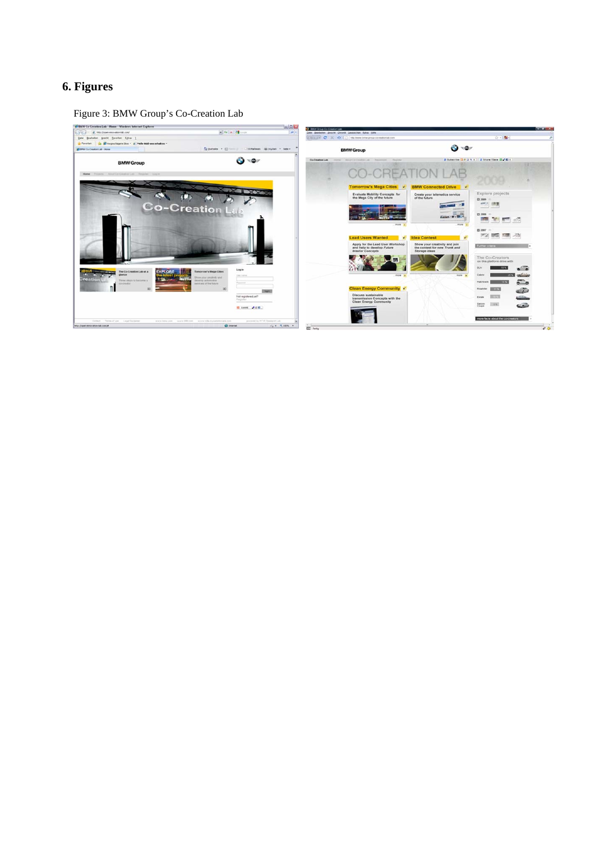## **6. Figures**

Figure 3: BMW Group's Co-Creation Lab